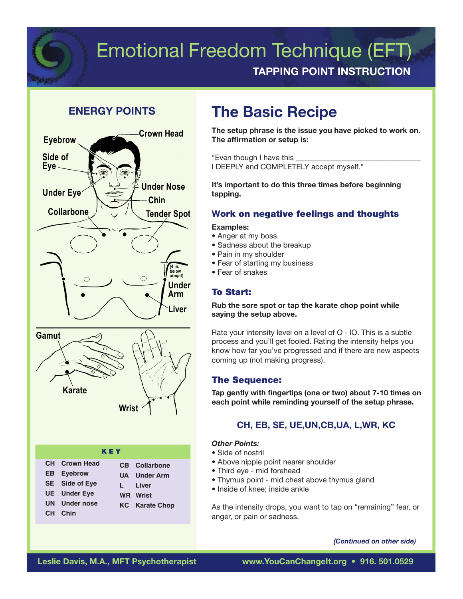

## Emotional Freedom Technique (EFT) TAPPING POINT INSTRUCTION

## ENERGY POINTS



# The Basic Recipe

The setup phrase is the issue you have picked to work on. The affirmation or setup is:

"Even though I have this

I DEEPLY and COMPLETELY accept myself."

It's important to do this three times before beginning tapping.

## Work on negative feelings and thoughts

#### Examples:

- Anger at my boss
- Sadness about the breakup
- Pain in my shoulder
- Fear of starting my business
- Fear of snakes

## To Start:

Rub the sore spot or tap the karate chop point while saying the setup above.

Rate your intensity level on a level of  $O$  - IO. This is a subtle process and you'll get fooled. Rating the intensity helps you know how far you've progressed and if there are new aspects coming up (not making progress).

## The Sequence:

Tap gently with fingertips (one or two) about 7-10 times on each point while reminding yourself of the setup phrase.

## CH, EB, SE, UE,UN,CB,UA, L,WR, KC

#### Other Points:

- Side of nostril
- Above nipple point nearer shoulder
- Third eye mid forehead
- Thymus point mid chest above thymus gland
- Inside of knee: inside ankle

As the intensity drops, you want to tap on "remaining" fear, or anger, or pain or sadness.

#### (Continued on other side)

**CH Chin**